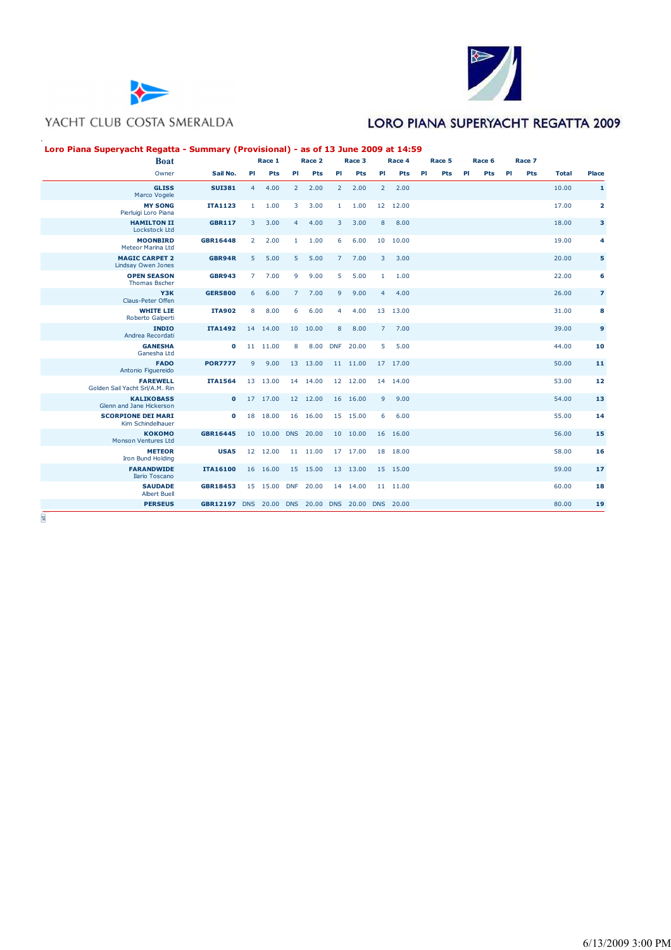



## LORO PIANA SUPERYACHT REGATTA 2009

#### **Loro Piana Superyacht Regatta - Summary (Provisional) - as of 13 June 2009 at 14:59**

| <b>Boat</b>                                       |                                                  |                | Race 1       |                | Race 2    |                | Race 3   |                | Race 4   |    | Race 5 |    | Race 6 |    | Race 7 |              |                         |
|---------------------------------------------------|--------------------------------------------------|----------------|--------------|----------------|-----------|----------------|----------|----------------|----------|----|--------|----|--------|----|--------|--------------|-------------------------|
| Owner                                             | Sail No.                                         | PI             | Pts          | PI             | Pts       | PI             | Pts      | PI             | Pts      | PI | Pts    | PI | Pts    | PI | Pts    | <b>Total</b> | Place                   |
| <b>GLISS</b><br>Marco Vogele                      | <b>SUI381</b>                                    | 4              | 4.00         | $\overline{2}$ | 2.00      | $\overline{2}$ | 2.00     | $2^{\circ}$    | 2.00     |    |        |    |        |    |        | 10.00        | 1                       |
| <b>MY SONG</b><br>Pierluigi Loro Piana            | <b>ITA1123</b>                                   | 1              | 1.00         | 3              | 3.00      | $\mathbf{1}$   | 1.00     |                | 12 12.00 |    |        |    |        |    |        | 17.00        | $\overline{\mathbf{2}}$ |
| <b>HAMILTON II</b><br><b>Lockstock Ltd</b>        | <b>GBR117</b>                                    | $\overline{3}$ | 3.00         | $\overline{4}$ | 4.00      | 3              | 3.00     | 8              | 8.00     |    |        |    |        |    |        | 18.00        | 3                       |
| <b>MOONBIRD</b><br>Meteor Marina Ltd              | GBR16448                                         | $\overline{2}$ | 2.00         | $\mathbf{1}$   | 1.00      | 6              | 6.00     |                | 10 10.00 |    |        |    |        |    |        | 19.00        | 4                       |
| <b>MAGIC CARPET 2</b><br>Lindsay Owen Jones       | GBR94R                                           | 5              | 5.00         | 5              | 5.00      | 7 <sup>1</sup> | 7.00     | $\overline{3}$ | 3.00     |    |        |    |        |    |        | 20.00        | 5                       |
| <b>OPEN SEASON</b><br><b>Thomas Bscher</b>        | <b>GBR943</b>                                    | $7^{\circ}$    | 7.00         | 9              | 9.00      | 5              | 5.00     | $\mathbf{1}$   | 1.00     |    |        |    |        |    |        | 22.00        | 6                       |
| Y3K<br><b>Claus-Peter Offen</b>                   | <b>GER5800</b>                                   | 6              | 6.00         | $\overline{7}$ | 7.00      | 9              | 9.00     | 4 <sup>1</sup> | 4.00     |    |        |    |        |    |        | 26.00        | $\overline{z}$          |
| <b>WHITE LIE</b><br>Roberto Galperti              | <b>ITA902</b>                                    | 8              | 8.00         | 6              | 6.00      | $\overline{4}$ | 4.00     |                | 13 13.00 |    |        |    |        |    |        | 31.00        | 8                       |
| <b>INDIO</b><br>Andrea Recordati                  | <b>ITA1492</b>                                   |                | 14 14.00     |                | 10 10.00  | 8              | 8.00     | 7 <sup>7</sup> | 7.00     |    |        |    |        |    |        | 39.00        | 9                       |
| <b>GANESHA</b><br>Ganesha Ltd                     | $\bullet$                                        |                | 11 11.00     | 8              | 8.00      | <b>DNF</b>     | 20.00    | 5              | 5.00     |    |        |    |        |    |        | 44.00        | 10                      |
| <b>FADO</b><br>Antonio Figuereido                 | <b>POR7777</b>                                   | 9              | 9.00         |                | 13 13.00  |                | 11 11.00 |                | 17 17.00 |    |        |    |        |    |        | 50.00        | 11                      |
| <b>FAREWELL</b><br>Golden Sail Yacht Srl/A.M. Rin | <b>ITA1564</b>                                   |                | 13 13.00     |                | 14 14.00  |                | 12 12.00 |                | 14 14.00 |    |        |    |        |    |        | 53.00        | 12                      |
| <b>KALIKOBASS</b><br>Glenn and Jane Hickerson     | $\mathbf{o}$                                     |                | 17 17.00     |                | 12 12.00  |                | 16 16.00 | 9              | 9.00     |    |        |    |        |    |        | 54.00        | 13                      |
| <b>SCORPIONE DEI MARI</b><br>Kim Schindelhauer    | $\mathbf{o}$                                     |                | 18 18.00     |                | 16 16.00  |                | 15 15.00 | 6              | 6.00     |    |        |    |        |    |        | 55.00        | 14                      |
| <b>КОКОМО</b><br><b>Monson Ventures Ltd</b>       | <b>GBR16445</b>                                  |                | 10 10.00     |                | DNS 20.00 |                | 10 10.00 |                | 16 16.00 |    |        |    |        |    |        | 56.00        | 15                      |
| <b>METEOR</b><br>Iron Bund Holding                | USA5                                             |                | 12 12.00     |                | 11 11.00  |                | 17 17.00 |                | 18 18.00 |    |        |    |        |    |        | 58.00        | 16                      |
| <b>FARANDWIDE</b><br>Ilario Toscano               | <b>ITA16100</b>                                  |                | 16 16.00     |                | 15 15.00  |                | 13 13.00 |                | 15 15.00 |    |        |    |        |    |        | 59.00        | 17                      |
| <b>SAUDADE</b><br><b>Albert Buell</b>             | <b>GBR18453</b>                                  |                | 15 15.00 DNF |                | 20.00     |                | 14 14.00 |                | 11 11.00 |    |        |    |        |    |        | 60.00        | 18                      |
| <b>PERSEUS</b>                                    | GBR12197 DNS 20.00 DNS 20.00 DNS 20.00 DNS 20.00 |                |              |                |           |                |          |                |          |    |        |    |        |    |        | 80.00        | 19                      |

 $^{0.0}_{1.0}$ 

.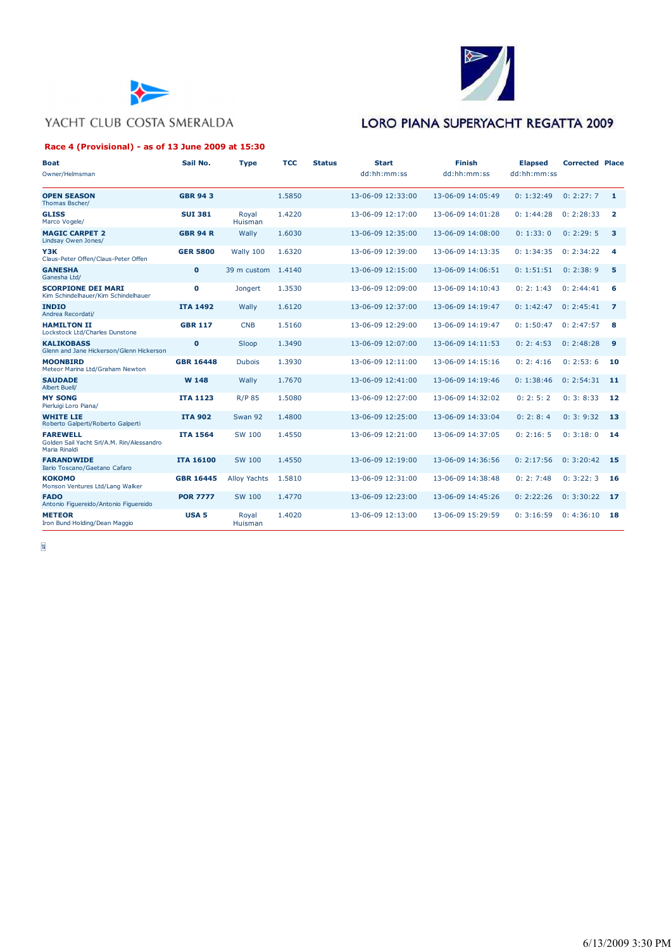



#### **Race 4 (Provisional) - as of 13 June 2009 at 15:30**

# LORO PIANA SUPERYACHT REGATTA 2009

| <b>Boat</b><br>Owner/Helmsman                                                 | Sail No.         | <b>Type</b>         | <b>TCC</b> | <b>Status</b> | <b>Start</b><br>dd:hh:mm:ss | <b>Finish</b><br>dd:hh:mm:ss | <b>Elapsed</b><br>dd:hh:mm:ss | <b>Corrected Place</b> |                         |
|-------------------------------------------------------------------------------|------------------|---------------------|------------|---------------|-----------------------------|------------------------------|-------------------------------|------------------------|-------------------------|
| <b>OPEN SEASON</b><br>Thomas Bscher/                                          | <b>GBR 943</b>   |                     | 1.5850     |               | 13-06-09 12:33:00           | 13-06-09 14:05:49            | 0: 1:32:49                    | 0: 2:27:7              | $\mathbf{1}$            |
| <b>GLISS</b><br>Marco Vogele/                                                 | <b>SUI 381</b>   | Royal<br>Huisman    | 1.4220     |               | 13-06-09 12:17:00           | 13-06-09 14:01:28            | 0: 1:44:28                    | 0: 2:28:33             | $\overline{\mathbf{2}}$ |
| <b>MAGIC CARPET 2</b><br>Lindsay Owen Jones/                                  | <b>GBR 94 R</b>  | Wally               | 1.6030     |               | 13-06-09 12:35:00           | 13-06-09 14:08:00            | 0: 1:33:0                     | 0: 2:29: 5             | 3                       |
| Y3K<br>Claus-Peter Offen/Claus-Peter Offen                                    | <b>GER 5800</b>  | Wally 100           | 1.6320     |               | 13-06-09 12:39:00           | 13-06-09 14:13:35            | 0: 1:34:35                    | 0: 2:34:22             | 4                       |
| <b>GANESHA</b><br>Ganesha Ltd/                                                | $\mathbf 0$      | 39 m custom         | 1.4140     |               | 13-06-09 12:15:00           | 13-06-09 14:06:51            | 0: 1:51:51                    | 0: 2:38: 9             | 5                       |
| <b>SCORPIONE DEI MARI</b><br>Kim Schindelhauer/Kim Schindelhauer              | $\mathbf 0$      | Jongert             | 1.3530     |               | 13-06-09 12:09:00           | 13-06-09 14:10:43            | 0: 2: 1:43                    | 0: 2:44:41             | 6                       |
| <b>INDIO</b><br>Andrea Recordati/                                             | <b>ITA 1492</b>  | Wally               | 1.6120     |               | 13-06-09 12:37:00           | 13-06-09 14:19:47            | 0: 1:42:47                    | 0: 2:45:41             | $\overline{z}$          |
| <b>HAMILTON II</b><br>Lockstock Ltd/Charles Dunstone                          | <b>GBR 117</b>   | <b>CNB</b>          | 1.5160     |               | 13-06-09 12:29:00           | 13-06-09 14:19:47            | 0: 1:50:47                    | 0: 2:47:57             | 8                       |
| <b>KALIKOBASS</b><br>Glenn and Jane Hickerson/Glenn Hickerson                 | $\mathbf 0$      | Sloop               | 1.3490     |               | 13-06-09 12:07:00           | 13-06-09 14:11:53            | 0: 2: 4:53                    | 0: 2:48:28             | 9                       |
| <b>MOONBIRD</b><br>Meteor Marina Ltd/Graham Newton                            | <b>GBR 16448</b> | <b>Dubois</b>       | 1.3930     |               | 13-06-09 12:11:00           | 13-06-09 14:15:16            | 0: 2: 4:16                    | 0: 2:53:6              | 10                      |
| <b>SAUDADE</b><br><b>Albert Buell/</b>                                        | W 148            | Wally               | 1.7670     |               | 13-06-09 12:41:00           | 13-06-09 14:19:46            | 0: 1:38:46                    | 0: 2:54:31             | 11                      |
| <b>MY SONG</b><br>Pierluigi Loro Piana/                                       | <b>ITA 1123</b>  | <b>R/P 85</b>       | 1.5080     |               | 13-06-09 12:27:00           | 13-06-09 14:32:02            | 0: 2: 5: 2                    | 0:3:8:33               | 12                      |
| <b>WHITE LIE</b><br>Roberto Galperti/Roberto Galperti                         | <b>ITA 902</b>   | Swan 92             | 1.4800     |               | 13-06-09 12:25:00           | 13-06-09 14:33:04            | 0: 2: 8: 4                    | 0:3:9:32               | 13                      |
| <b>FAREWELL</b><br>Golden Sail Yacht Srl/A.M. Rin/Alessandro<br>Maria Rinaldi | <b>ITA 1564</b>  | <b>SW 100</b>       | 1.4550     |               | 13-06-09 12:21:00           | 13-06-09 14:37:05            | 0: 2:16: 5                    | 0: 3:18:0              | 14                      |
| <b>FARANDWIDE</b><br>Ilario Toscano/Gaetano Cafaro                            | <b>ITA 16100</b> | <b>SW 100</b>       | 1.4550     |               | 13-06-09 12:19:00           | 13-06-09 14:36:56            | 0: 2:17:56                    | 0: 3:20:42             | 15                      |
| <b>КОКОМО</b><br>Monson Ventures Ltd/Lang Walker                              | <b>GBR 16445</b> | <b>Alloy Yachts</b> | 1.5810     |               | 13-06-09 12:31:00           | 13-06-09 14:38:48            | 0: 2: 7:48                    | 0:3:22:3               | 16                      |
| <b>FADO</b><br>Antonio Figuereido/Antonio Figuereido                          | <b>POR 7777</b>  | <b>SW 100</b>       | 1.4770     |               | 13-06-09 12:23:00           | 13-06-09 14:45:26            | 0: 2:22:26                    | 0: 3:30:22             | 17                      |
| <b>METEOR</b><br>Iron Bund Holding/Dean Maggio                                | <b>USA 5</b>     | Royal<br>Huisman    | 1.4020     |               | 13-06-09 12:13:00           | 13-06-09 15:29:59            | 0: 3:16:59                    | 0: 4:36:10             | 18                      |

 $\frac{6}{9}$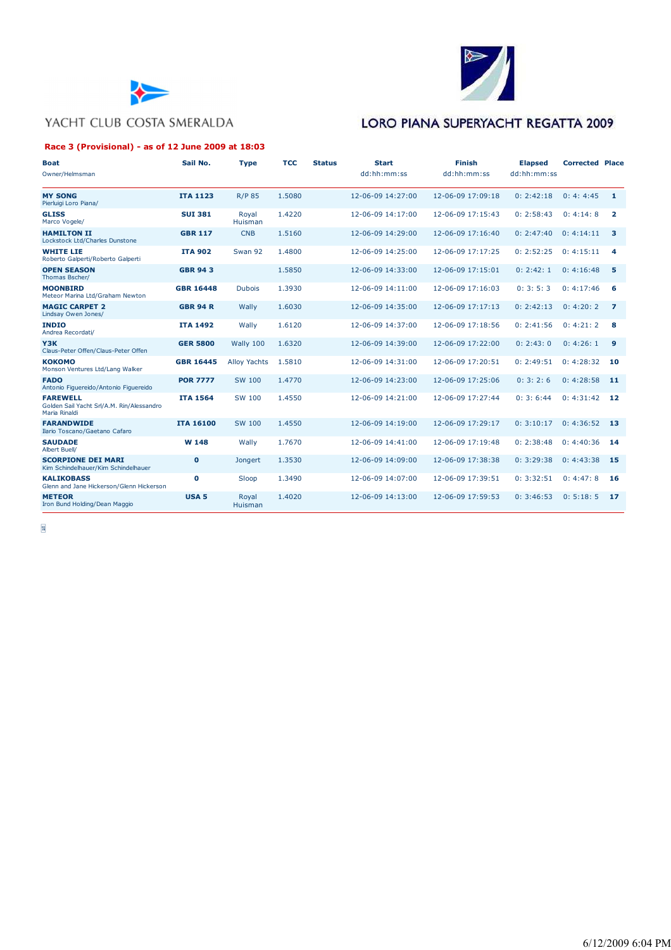



#### **Race 3 (Provisional) - as of 12 June 2009 at 18:03**

### LORO PIANA SUPERYACHT REGATTA 2009

| <b>Boat</b><br>Owner/Helmsman                                                 | Sail No.         | <b>Type</b>         | <b>TCC</b> | <b>Status</b> | <b>Start</b><br>dd:hh:mm:ss | Finish<br>dd:hh:mm:ss | <b>Elapsed</b><br>dd:hh:mm:ss | <b>Corrected Place</b> |                         |
|-------------------------------------------------------------------------------|------------------|---------------------|------------|---------------|-----------------------------|-----------------------|-------------------------------|------------------------|-------------------------|
| <b>MY SONG</b><br>Pierluigi Loro Piana/                                       | <b>ITA 1123</b>  | <b>R/P 85</b>       | 1.5080     |               | 12-06-09 14:27:00           | 12-06-09 17:09:18     | 0: 2:42:18                    | 0: 4: 4:45             | $\mathbf{1}$            |
| <b>GLISS</b><br>Marco Vogele/                                                 | <b>SUI 381</b>   | Royal<br>Huisman    | 1.4220     |               | 12-06-09 14:17:00           | 12-06-09 17:15:43     | 0: 2:58:43                    | 0: 4:14:8              | $\overline{\mathbf{2}}$ |
| <b>HAMILTON II</b><br>Lockstock Ltd/Charles Dunstone                          | <b>GBR 117</b>   | <b>CNB</b>          | 1.5160     |               | 12-06-09 14:29:00           | 12-06-09 17:16:40     | 0: 2:47:40                    | 0: 4:14:11             | 3                       |
| <b>WHITE LIE</b><br>Roberto Galperti/Roberto Galperti                         | <b>ITA 902</b>   | Swan 92             | 1.4800     |               | 12-06-09 14:25:00           | 12-06-09 17:17:25     | 0: 2:52:25                    | 0:4:15:11              | 4                       |
| <b>OPEN SEASON</b><br>Thomas Bscher/                                          | <b>GBR 943</b>   |                     | 1.5850     |               | 12-06-09 14:33:00           | 12-06-09 17:15:01     | 0: 2:42:1                     | 0: 4:16:48             | 5                       |
| <b>MOONBIRD</b><br>Meteor Marina Ltd/Graham Newton                            | <b>GBR 16448</b> | <b>Dubois</b>       | 1.3930     |               | 12-06-09 14:11:00           | 12-06-09 17:16:03     | 0: 3: 5: 3                    | 0: 4:17:46             | 6                       |
| <b>MAGIC CARPET 2</b><br>Lindsay Owen Jones/                                  | <b>GBR 94 R</b>  | Wally               | 1.6030     |               | 12-06-09 14:35:00           | 12-06-09 17:17:13     | 0: 2:42:13                    | 0: 4:20: 2             | $\overline{7}$          |
| <b>INDIO</b><br>Andrea Recordati/                                             | <b>ITA 1492</b>  | Wally               | 1.6120     |               | 12-06-09 14:37:00           | 12-06-09 17:18:56     | 0: 2:41:56                    | 0: 4:21:2              | 8                       |
| Y3K<br>Claus-Peter Offen/Claus-Peter Offen                                    | <b>GER 5800</b>  | Wally 100           | 1.6320     |               | 12-06-09 14:39:00           | 12-06-09 17:22:00     | 0: 2:43:0                     | 0: 4:26:1              | $\overline{9}$          |
| <b>КОКОМО</b><br>Monson Ventures Ltd/Lang Walker                              | <b>GBR 16445</b> | <b>Alloy Yachts</b> | 1.5810     |               | 12-06-09 14:31:00           | 12-06-09 17:20:51     | 0: 2:49:51                    | 0: 4:28:32             | 10                      |
| <b>FADO</b><br>Antonio Figuereido/Antonio Figuereido                          | <b>POR 7777</b>  | SW 100              | 1.4770     |               | 12-06-09 14:23:00           | 12-06-09 17:25:06     | 0: 3: 2: 6                    | 0: 4:28:58             | 11                      |
| <b>FAREWELL</b><br>Golden Sail Yacht Srl/A.M. Rin/Alessandro<br>Maria Rinaldi | <b>ITA 1564</b>  | SW 100              | 1.4550     |               | 12-06-09 14:21:00           | 12-06-09 17:27:44     | 0: 3: 6:44                    | 0: 4:31:42             | 12                      |
| <b>FARANDWIDE</b><br>Ilario Toscano/Gaetano Cafaro                            | <b>ITA 16100</b> | <b>SW 100</b>       | 1.4550     |               | 12-06-09 14:19:00           | 12-06-09 17:29:17     | 0:3:10:17                     | 0: 4:36:52             | 13                      |
| <b>SAUDADE</b><br>Albert Buell/                                               | W 148            | Wally               | 1.7670     |               | 12-06-09 14:41:00           | 12-06-09 17:19:48     | 0: 2:38:48                    | 0:4:40:36              | 14                      |
| <b>SCORPIONE DEI MARI</b><br>Kim Schindelhauer/Kim Schindelhauer              | $\mathbf 0$      | Jongert             | 1.3530     |               | 12-06-09 14:09:00           | 12-06-09 17:38:38     | 0: 3:29:38                    | 0: 4:43:38             | 15                      |
| <b>KALIKOBASS</b><br>Glenn and Jane Hickerson/Glenn Hickerson                 | $\mathbf 0$      | Sloop               | 1.3490     |               | 12-06-09 14:07:00           | 12-06-09 17:39:51     | 0: 3:32:51                    | 0: 4:47: 8             | 16                      |
| <b>METEOR</b><br>Iron Bund Holding/Dean Maggio                                | <b>USA 5</b>     | Royal<br>Huisman    | 1.4020     |               | 12-06-09 14:13:00           | 12-06-09 17:59:53     | 0: 3:46:53                    | 0: 5:18: 5             | 17                      |

 $\frac{1}{16}$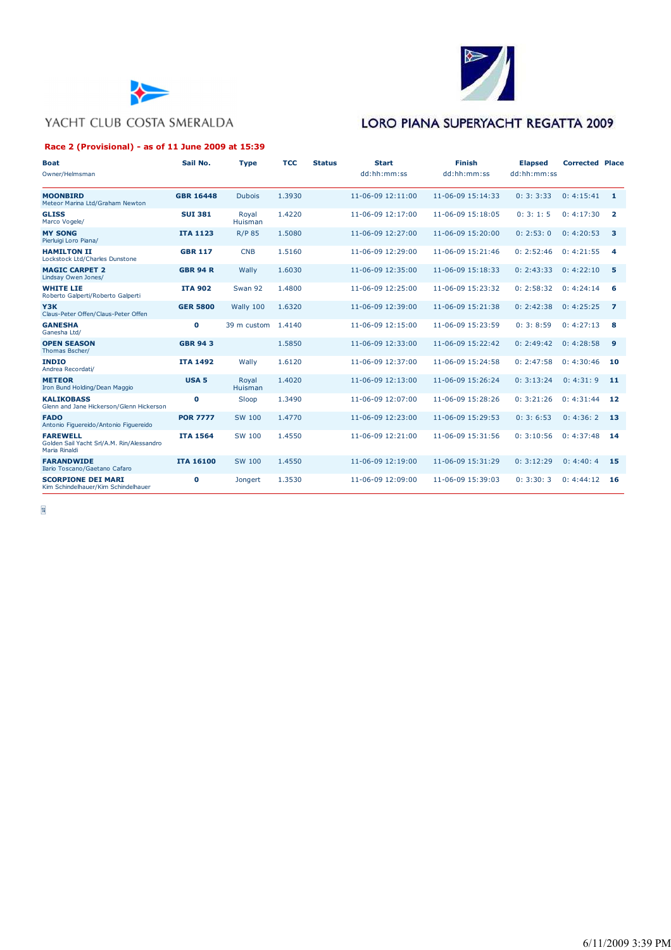



#### **Race 2 (Provisional) - as of 11 June 2009 at 15:39**

# LORO PIANA SUPERYACHT REGATTA 2009

| <b>Boat</b>                                                                   | Sail No.         | <b>Type</b>      | <b>TCC</b> | <b>Status</b> | <b>Start</b>              | <b>Finish</b>     | <b>Elapsed</b> | <b>Corrected Place</b> |                |
|-------------------------------------------------------------------------------|------------------|------------------|------------|---------------|---------------------------|-------------------|----------------|------------------------|----------------|
| Owner/Helmsman                                                                |                  |                  |            |               | dd:hh:mm:ss               | dd:hh:mm:ss       | dd:hh:mm:ss    |                        |                |
| <b>MOONBIRD</b><br>Meteor Marina Ltd/Graham Newton                            | <b>GBR 16448</b> | <b>Dubois</b>    | 1.3930     |               | $11 - 06 - 09$ $12:11:00$ | 11-06-09 15:14:33 | 0: 3: 3:33     | 0: 4:15:41             | $\mathbf{1}$   |
| <b>GLISS</b><br>Marco Vogele/                                                 | <b>SUI 381</b>   | Royal<br>Huisman | 1.4220     |               | 11-06-09 12:17:00         | 11-06-09 15:18:05 | 0:3:1:5        | 0:4:17:30              | $\overline{2}$ |
| <b>MY SONG</b><br>Pierluigi Loro Piana/                                       | <b>ITA 1123</b>  | <b>R/P 85</b>    | 1.5080     |               | 11-06-09 12:27:00         | 11-06-09 15:20:00 | 0: 2:53:0      | 0: 4:20:53             | 3              |
| <b>HAMILTON II</b><br>Lockstock Ltd/Charles Dunstone                          | <b>GBR 117</b>   | <b>CNB</b>       | 1.5160     |               | 11-06-09 12:29:00         | 11-06-09 15:21:46 | 0: 2:52:46     | 0: 4:21:55             | 4              |
| <b>MAGIC CARPET 2</b><br>Lindsay Owen Jones/                                  | <b>GBR 94 R</b>  | Wally            | 1.6030     |               | 11-06-09 12:35:00         | 11-06-09 15:18:33 | 0: 2:43:33     | 0: 4:22:10             | 5              |
| <b>WHITE LIE</b><br>Roberto Galperti/Roberto Galperti                         | <b>ITA 902</b>   | Swan 92          | 1.4800     |               | 11-06-09 12:25:00         | 11-06-09 15:23:32 | 0: 2:58:32     | 0: 4:24:14             | 6              |
| Y3K<br>Claus-Peter Offen/Claus-Peter Offen                                    | <b>GER 5800</b>  | Wally 100        | 1.6320     |               | 11-06-09 12:39:00         | 11-06-09 15:21:38 | 0: 2:42:38     | 0: 4:25:25             | $\overline{z}$ |
| <b>GANESHA</b><br>Ganesha Ltd/                                                | $\mathbf{0}$     | 39 m custom      | 1.4140     |               | 11-06-09 12:15:00         | 11-06-09 15:23:59 | 0: 3: 8:59     | 0: 4:27:13             | 8              |
| <b>OPEN SEASON</b><br>Thomas Bscher/                                          | <b>GBR 943</b>   |                  | 1.5850     |               | 11-06-09 12:33:00         | 11-06-09 15:22:42 | 0: 2:49:42     | 0: 4:28:58             | 9              |
| <b>INDIO</b><br>Andrea Recordati/                                             | <b>ITA 1492</b>  | Wally            | 1.6120     |               | 11-06-09 12:37:00         | 11-06-09 15:24:58 | 0: 2:47:58     | 0: 4:30:46             | 10             |
| <b>METEOR</b><br>Iron Bund Holding/Dean Maggio                                | <b>USA 5</b>     | Royal<br>Huisman | 1.4020     |               | 11-06-09 12:13:00         | 11-06-09 15:26:24 | 0: 3:13:24     | 0: 4:31:9              | 11             |
| <b>KALIKOBASS</b><br>Glenn and Jane Hickerson/Glenn Hickerson                 | $\mathbf o$      | Sloop            | 1.3490     |               | 11-06-09 12:07:00         | 11-06-09 15:28:26 | 0: 3:21:26     | 0: 4:31:44             | 12             |
| <b>FADO</b><br>Antonio Figuereido/Antonio Figuereido                          | <b>POR 7777</b>  | SW 100           | 1.4770     |               | 11-06-09 12:23:00         | 11-06-09 15:29:53 | 0:3:6:53       | 0: 4:36:2              | 13             |
| <b>FAREWELL</b><br>Golden Sail Yacht Srl/A.M. Rin/Alessandro<br>Maria Rinaldi | <b>ITA 1564</b>  | SW 100           | 1.4550     |               | 11-06-09 12:21:00         | 11-06-09 15:31:56 | 0: 3:10:56     | 0: 4:37:48             | 14             |
| <b>FARANDWIDE</b><br>Ilario Toscano/Gaetano Cafaro                            | <b>ITA 16100</b> | SW 100           | 1.4550     |               | 11-06-09 12:19:00         | 11-06-09 15:31:29 | 0: 3:12:29     | 0: 4:40: 4             | 15             |
| <b>SCORPIONE DEI MARI</b><br>Kim Schindelhauer/Kim Schindelhauer              | $\mathbf 0$      | Jongert          | 1.3530     |               | 11-06-09 12:09:00         | 11-06-09 15:39:03 | 0: 3:30:3      | 0: 4:44:12             | 16             |